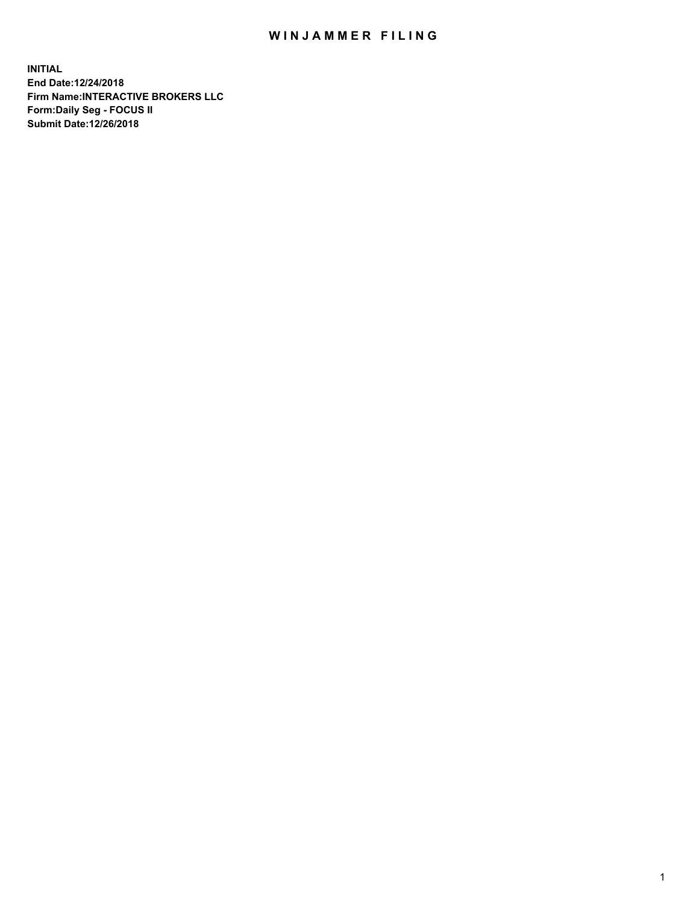## WIN JAMMER FILING

**INITIAL End Date:12/24/2018 Firm Name:INTERACTIVE BROKERS LLC Form:Daily Seg - FOCUS II Submit Date:12/26/2018**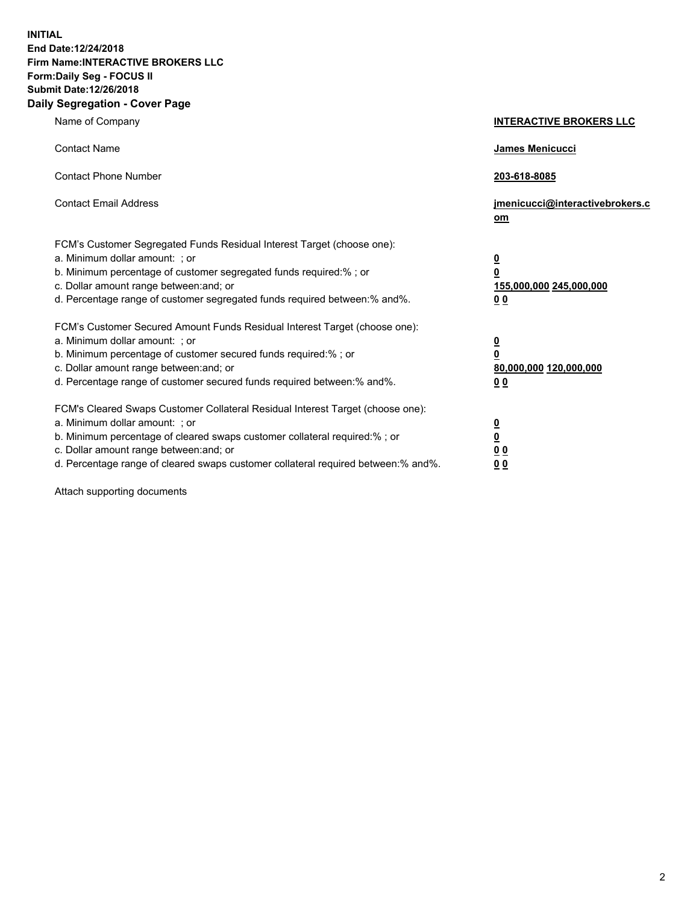**INITIAL End Date:12/24/2018 Firm Name:INTERACTIVE BROKERS LLC Form:Daily Seg - FOCUS II Submit Date:12/26/2018 Daily Segregation - Cover Page**

| Name of Company                                                                                                                                                                                                                                                                                                                | <b>INTERACTIVE BROKERS LLC</b>                                                                  |
|--------------------------------------------------------------------------------------------------------------------------------------------------------------------------------------------------------------------------------------------------------------------------------------------------------------------------------|-------------------------------------------------------------------------------------------------|
| <b>Contact Name</b>                                                                                                                                                                                                                                                                                                            | James Menicucci                                                                                 |
| <b>Contact Phone Number</b>                                                                                                                                                                                                                                                                                                    | 203-618-8085                                                                                    |
| <b>Contact Email Address</b>                                                                                                                                                                                                                                                                                                   | jmenicucci@interactivebrokers.c<br>om                                                           |
| FCM's Customer Segregated Funds Residual Interest Target (choose one):<br>a. Minimum dollar amount: ; or<br>b. Minimum percentage of customer segregated funds required:%; or<br>c. Dollar amount range between: and; or<br>d. Percentage range of customer segregated funds required between:% and%.                          | $\overline{\mathbf{0}}$<br>$\overline{\mathbf{0}}$<br>155,000,000 245,000,000<br>0 <sub>0</sub> |
| FCM's Customer Secured Amount Funds Residual Interest Target (choose one):<br>a. Minimum dollar amount: ; or<br>b. Minimum percentage of customer secured funds required:% ; or<br>c. Dollar amount range between: and; or<br>d. Percentage range of customer secured funds required between:% and%.                           | $\overline{\mathbf{0}}$<br>$\overline{\mathbf{0}}$<br>80,000,000 120,000,000<br>0 <sub>0</sub>  |
| FCM's Cleared Swaps Customer Collateral Residual Interest Target (choose one):<br>a. Minimum dollar amount: ; or<br>b. Minimum percentage of cleared swaps customer collateral required:% ; or<br>c. Dollar amount range between: and; or<br>d. Percentage range of cleared swaps customer collateral required between:% and%. | $\overline{\mathbf{0}}$<br>$\underline{\mathbf{0}}$<br>0 <sub>0</sub><br>0 <sub>0</sub>         |

Attach supporting documents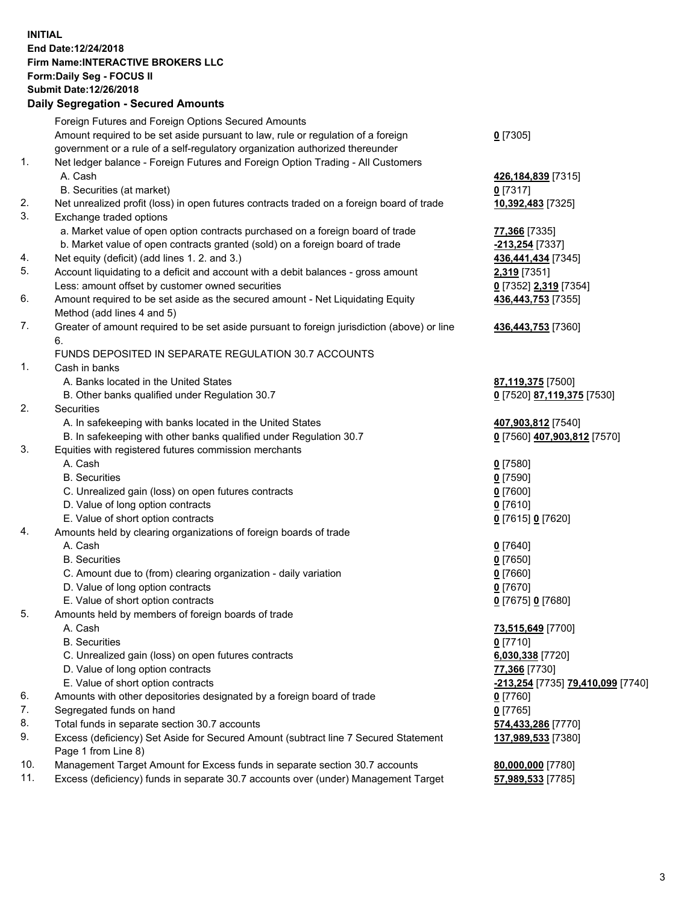## **INITIAL End Date:12/24/2018 Firm Name:INTERACTIVE BROKERS LLC Form:Daily Seg - FOCUS II Submit Date:12/26/2018 Daily Segregation - Secured Amounts**

|     | Dany Segregation - Secured Amounts                                                          |                                                             |
|-----|---------------------------------------------------------------------------------------------|-------------------------------------------------------------|
|     | Foreign Futures and Foreign Options Secured Amounts                                         |                                                             |
|     | Amount required to be set aside pursuant to law, rule or regulation of a foreign            | $0$ [7305]                                                  |
|     | government or a rule of a self-regulatory organization authorized thereunder                |                                                             |
| 1.  | Net ledger balance - Foreign Futures and Foreign Option Trading - All Customers             |                                                             |
|     | A. Cash                                                                                     | 426,184,839 [7315]                                          |
|     | B. Securities (at market)                                                                   | $0$ [7317]                                                  |
| 2.  | Net unrealized profit (loss) in open futures contracts traded on a foreign board of trade   | 10,392,483 [7325]                                           |
| 3.  | Exchange traded options                                                                     |                                                             |
|     | a. Market value of open option contracts purchased on a foreign board of trade              | 77,366 [7335]                                               |
|     | b. Market value of open contracts granted (sold) on a foreign board of trade                | -213,254 [7337]                                             |
| 4.  | Net equity (deficit) (add lines 1. 2. and 3.)                                               | 436,441,434 [7345]                                          |
| 5.  | Account liquidating to a deficit and account with a debit balances - gross amount           | 2,319 [7351]                                                |
|     | Less: amount offset by customer owned securities                                            | 0 [7352] 2,319 [7354]                                       |
| 6.  | Amount required to be set aside as the secured amount - Net Liquidating Equity              | 436,443,753 [7355]                                          |
|     | Method (add lines 4 and 5)                                                                  |                                                             |
| 7.  | Greater of amount required to be set aside pursuant to foreign jurisdiction (above) or line | 436,443,753 [7360]                                          |
|     | 6.                                                                                          |                                                             |
|     | FUNDS DEPOSITED IN SEPARATE REGULATION 30.7 ACCOUNTS                                        |                                                             |
| 1.  | Cash in banks                                                                               |                                                             |
|     | A. Banks located in the United States                                                       | 87,119,375 [7500]                                           |
|     | B. Other banks qualified under Regulation 30.7                                              | 0 [7520] 87,119,375 [7530]                                  |
| 2.  | <b>Securities</b>                                                                           |                                                             |
|     | A. In safekeeping with banks located in the United States                                   | 407,903,812 [7540]                                          |
|     | B. In safekeeping with other banks qualified under Regulation 30.7                          | 0 [7560] 407,903,812 [7570]                                 |
| 3.  | Equities with registered futures commission merchants                                       |                                                             |
|     | A. Cash                                                                                     | $0$ [7580]                                                  |
|     | <b>B.</b> Securities                                                                        | $0$ [7590]                                                  |
|     | C. Unrealized gain (loss) on open futures contracts                                         | $0$ [7600]                                                  |
|     | D. Value of long option contracts                                                           | $0$ [7610]                                                  |
|     | E. Value of short option contracts                                                          | 0 [7615] 0 [7620]                                           |
| 4.  | Amounts held by clearing organizations of foreign boards of trade                           |                                                             |
|     | A. Cash<br><b>B.</b> Securities                                                             | $0$ [7640]                                                  |
|     |                                                                                             | $0$ [7650]                                                  |
|     | C. Amount due to (from) clearing organization - daily variation                             | $0$ [7660]<br>$0$ [7670]                                    |
|     | D. Value of long option contracts<br>E. Value of short option contracts                     | 0 [7675] 0 [7680]                                           |
| 5.  | Amounts held by members of foreign boards of trade                                          |                                                             |
|     | A. Cash                                                                                     | 73,515,649 [7700]                                           |
|     | <b>B.</b> Securities                                                                        | $0$ [7710]                                                  |
|     | C. Unrealized gain (loss) on open futures contracts                                         | 6,030,338 [7720]                                            |
|     | D. Value of long option contracts                                                           | 77,366 [7730]                                               |
|     | E. Value of short option contracts                                                          | <mark>-213,254</mark> [7735] <mark>79,410,099</mark> [7740] |
| 6.  | Amounts with other depositories designated by a foreign board of trade                      | $0$ [7760]                                                  |
| 7.  | Segregated funds on hand                                                                    | $0$ [7765]                                                  |
| 8.  | Total funds in separate section 30.7 accounts                                               | 574,433,286 [7770]                                          |
| 9.  | Excess (deficiency) Set Aside for Secured Amount (subtract line 7 Secured Statement         | 137,989,533 [7380]                                          |
|     | Page 1 from Line 8)                                                                         |                                                             |
| 10. | Management Target Amount for Excess funds in separate section 30.7 accounts                 | 80,000,000 [7780]                                           |
| 11. | Excess (deficiency) funds in separate 30.7 accounts over (under) Management Target          | 57,989,533 [7785]                                           |
|     |                                                                                             |                                                             |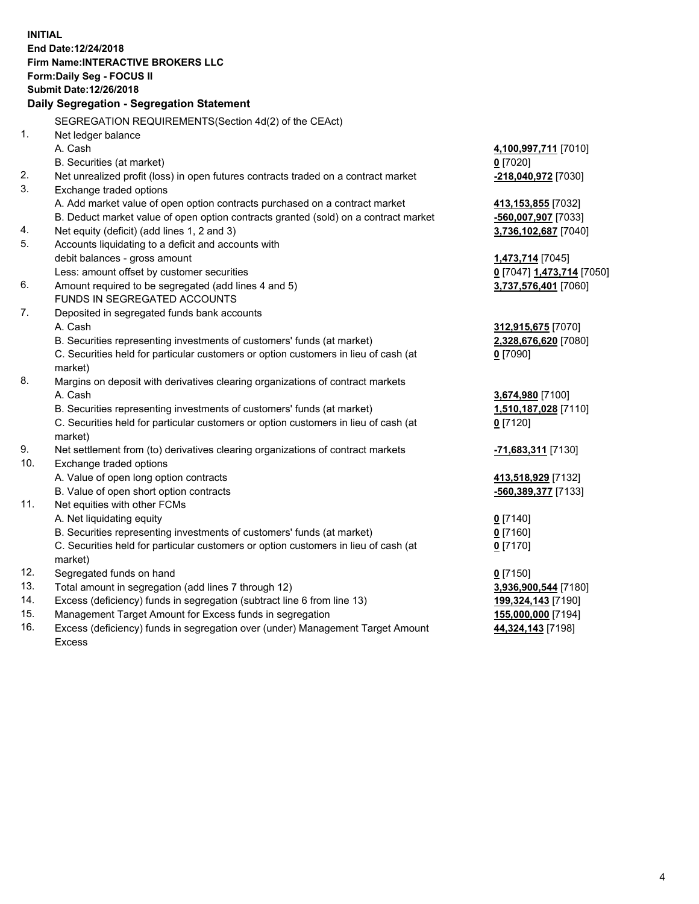**INITIAL End Date:12/24/2018 Firm Name:INTERACTIVE BROKERS LLC Form:Daily Seg - FOCUS II Submit Date:12/26/2018 Daily Segregation - Segregation Statement** SEGREGATION REQUIREMENTS(Section 4d(2) of the CEAct) 1. Net ledger balance A. Cash **4,100,997,711** [7010] B. Securities (at market) **0** [7020] 2. Net unrealized profit (loss) in open futures contracts traded on a contract market **-218,040,972** [7030] 3. Exchange traded options A. Add market value of open option contracts purchased on a contract market **413,153,855** [7032] B. Deduct market value of open option contracts granted (sold) on a contract market **-560,007,907** [7033] 4. Net equity (deficit) (add lines 1, 2 and 3) **3,736,102,687** [7040] 5. Accounts liquidating to a deficit and accounts with debit balances - gross amount **1,473,714** [7045] Less: amount offset by customer securities **0** [7047] **1,473,714** [7050] 6. Amount required to be segregated (add lines 4 and 5) **3,737,576,401** [7060] FUNDS IN SEGREGATED ACCOUNTS 7. Deposited in segregated funds bank accounts A. Cash **312,915,675** [7070] B. Securities representing investments of customers' funds (at market) **2,328,676,620** [7080] C. Securities held for particular customers or option customers in lieu of cash (at market) **0** [7090] 8. Margins on deposit with derivatives clearing organizations of contract markets A. Cash **3,674,980** [7100] B. Securities representing investments of customers' funds (at market) **1,510,187,028** [7110] C. Securities held for particular customers or option customers in lieu of cash (at market) **0** [7120] 9. Net settlement from (to) derivatives clearing organizations of contract markets **-71,683,311** [7130] 10. Exchange traded options A. Value of open long option contracts **413,518,929** [7132] B. Value of open short option contracts **-560,389,377** [7133] 11. Net equities with other FCMs A. Net liquidating equity **0** [7140] B. Securities representing investments of customers' funds (at market) **0** [7160] C. Securities held for particular customers or option customers in lieu of cash (at market) **0** [7170] 12. Segregated funds on hand **0** [7150] 13. Total amount in segregation (add lines 7 through 12) **3,936,900,544** [7180] 14. Excess (deficiency) funds in segregation (subtract line 6 from line 13) **199,324,143** [7190] 15. Management Target Amount for Excess funds in segregation **155,000,000** [7194]

16. Excess (deficiency) funds in segregation over (under) Management Target Amount Excess

**44,324,143** [7198]